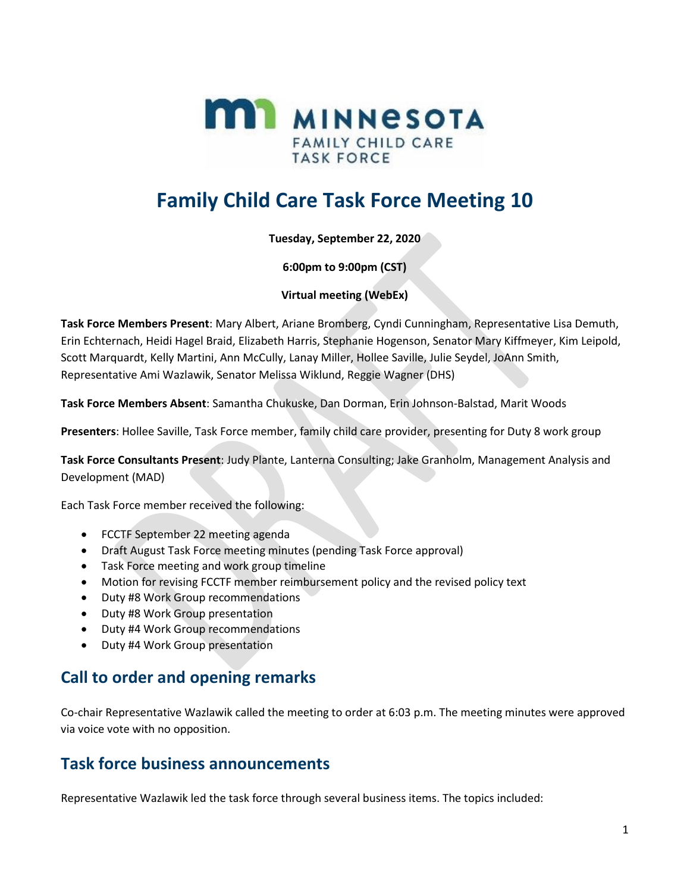

## **Family Child Care Task Force Meeting 10**

**Tuesday, September 22, 2020**

**6:00pm to 9:00pm (CST)**

**Virtual meeting (WebEx)**

**Task Force Members Present**: Mary Albert, Ariane Bromberg, Cyndi Cunningham, Representative Lisa Demuth, Erin Echternach, Heidi Hagel Braid, Elizabeth Harris, Stephanie Hogenson, Senator Mary Kiffmeyer, Kim Leipold, Scott Marquardt, Kelly Martini, Ann McCully, Lanay Miller, Hollee Saville, Julie Seydel, JoAnn Smith, Representative Ami Wazlawik, Senator Melissa Wiklund, Reggie Wagner (DHS)

**Task Force Members Absent**: Samantha Chukuske, Dan Dorman, Erin Johnson-Balstad, Marit Woods

**Presenters**: Hollee Saville, Task Force member, family child care provider, presenting for Duty 8 work group

**Task Force Consultants Present**: Judy Plante, Lanterna Consulting; Jake Granholm, Management Analysis and Development (MAD)

Each Task Force member received the following:

- FCCTF September 22 meeting agenda
- Draft August Task Force meeting minutes (pending Task Force approval)
- Task Force meeting and work group timeline
- Motion for revising FCCTF member reimbursement policy and the revised policy text
- Duty #8 Work Group recommendations
- Duty #8 Work Group presentation
- Duty #4 Work Group recommendations
- Duty #4 Work Group presentation

### **Call to order and opening remarks**

Co-chair Representative Wazlawik called the meeting to order at 6:03 p.m. The meeting minutes were approved via voice vote with no opposition.

### **Task force business announcements**

Representative Wazlawik led the task force through several business items. The topics included: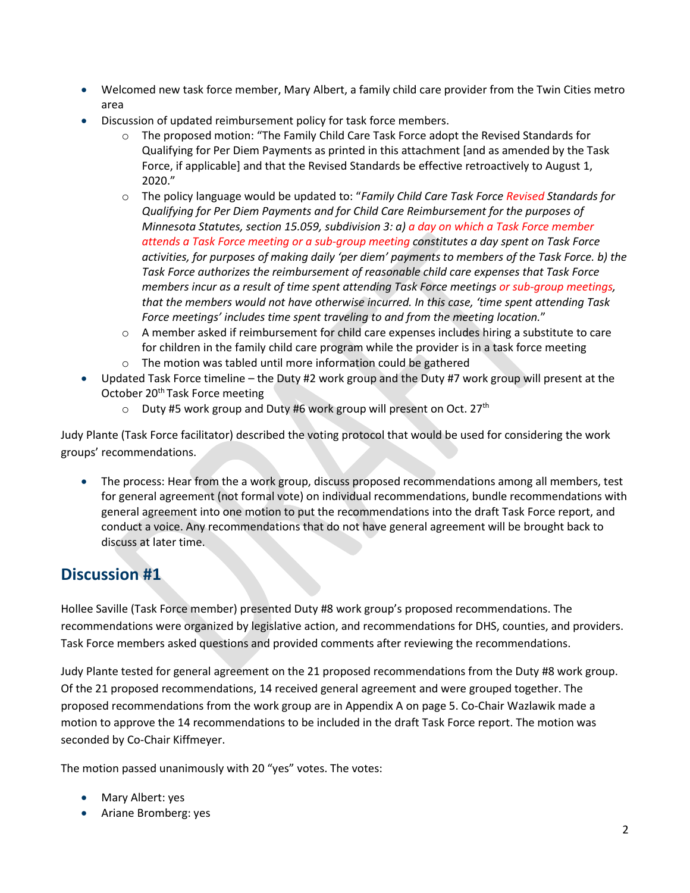- Welcomed new task force member, Mary Albert, a family child care provider from the Twin Cities metro area
- Discussion of updated reimbursement policy for task force members.
	- o The proposed motion: "The Family Child Care Task Force adopt the Revised Standards for Qualifying for Per Diem Payments as printed in this attachment [and as amended by the Task Force, if applicable] and that the Revised Standards be effective retroactively to August 1, 2020."
	- o The policy language would be updated to: "*Family Child Care Task Force Revised Standards for Qualifying for Per Diem Payments and for Child Care Reimbursement for the purposes of Minnesota Statutes, section 15.059, subdivision 3: a) a day on which a Task Force member attends a Task Force meeting or a sub-group meeting constitutes a day spent on Task Force activities, for purposes of making daily 'per diem' payments to members of the Task Force. b) the Task Force authorizes the reimbursement of reasonable child care expenses that Task Force members incur as a result of time spent attending Task Force meetings or sub-group meetings, that the members would not have otherwise incurred. In this case, 'time spent attending Task Force meetings' includes time spent traveling to and from the meeting location.*"
	- $\circ$  A member asked if reimbursement for child care expenses includes hiring a substitute to care for children in the family child care program while the provider is in a task force meeting
	- o The motion was tabled until more information could be gathered
- Updated Task Force timeline the Duty #2 work group and the Duty #7 work group will present at the October 20<sup>th</sup> Task Force meeting
	- $\circ$  Duty #5 work group and Duty #6 work group will present on Oct. 27<sup>th</sup>

Judy Plante (Task Force facilitator) described the voting protocol that would be used for considering the work groups' recommendations.

• The process: Hear from the a work group, discuss proposed recommendations among all members, test for general agreement (not formal vote) on individual recommendations, bundle recommendations with general agreement into one motion to put the recommendations into the draft Task Force report, and conduct a voice. Any recommendations that do not have general agreement will be brought back to discuss at later time.

## **Discussion #1**

Hollee Saville (Task Force member) presented Duty #8 work group's proposed recommendations. The recommendations were organized by legislative action, and recommendations for DHS, counties, and providers. Task Force members asked questions and provided comments after reviewing the recommendations.

Judy Plante tested for general agreement on the 21 proposed recommendations from the Duty #8 work group. Of the 21 proposed recommendations, 14 received general agreement and were grouped together. The proposed recommendations from the work group are in Appendix A on page [5.](#page-4-0) Co-Chair Wazlawik made a motion to approve the 14 recommendations to be included in the draft Task Force report. The motion was seconded by Co-Chair Kiffmeyer.

The motion passed unanimously with 20 "yes" votes. The votes:

- Mary Albert: yes
- Ariane Bromberg: yes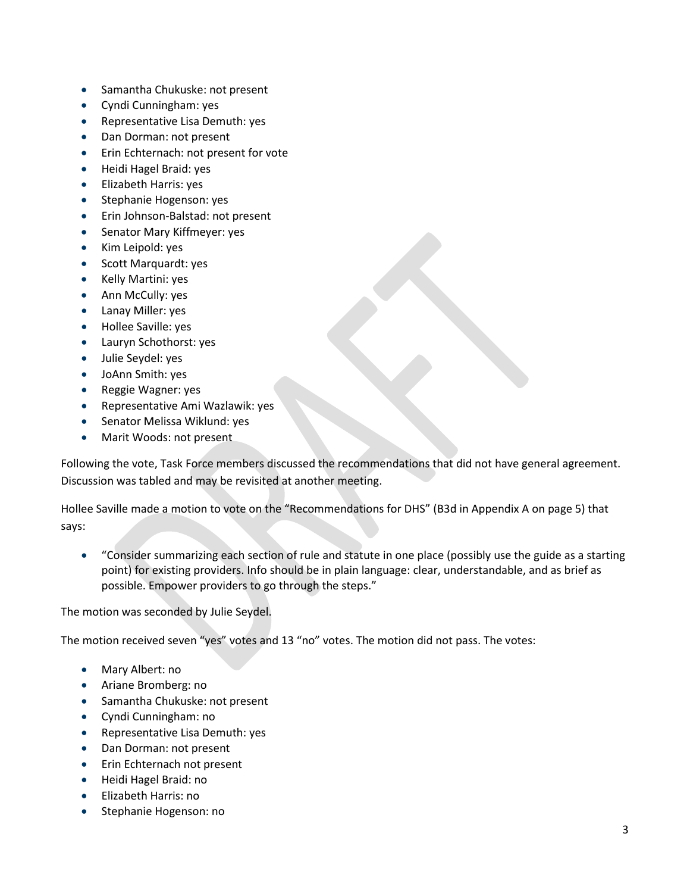- Samantha Chukuske: not present
- Cyndi Cunningham: yes
- Representative Lisa Demuth: yes
- Dan Dorman: not present
- Erin Echternach: not present for vote
- Heidi Hagel Braid: yes
- Elizabeth Harris: yes
- Stephanie Hogenson: yes
- Erin Johnson-Balstad: not present
- Senator Mary Kiffmeyer: yes
- Kim Leipold: yes
- Scott Marquardt: yes
- Kelly Martini: yes
- Ann McCully: yes
- Lanay Miller: yes
- Hollee Saville: yes
- Lauryn Schothorst: yes
- Julie Seydel: yes
- JoAnn Smith: yes
- Reggie Wagner: yes
- Representative Ami Wazlawik: yes
- Senator Melissa Wiklund: yes
- Marit Woods: not present

Following the vote, Task Force members discussed the recommendations that did not have general agreement. Discussion was tabled and may be revisited at another meeting.

Hollee Saville made a motion to vote on the "Recommendations for DHS" (B3d in Appendix A on page [5\)](#page-4-0) that says:

• "Consider summarizing each section of rule and statute in one place (possibly use the guide as a starting point) for existing providers. Info should be in plain language: clear, understandable, and as brief as possible. Empower providers to go through the steps."

#### The motion was seconded by Julie Seydel.

The motion received seven "yes" votes and 13 "no" votes. The motion did not pass. The votes:

- Mary Albert: no
- Ariane Bromberg: no
- Samantha Chukuske: not present
- Cyndi Cunningham: no
- Representative Lisa Demuth: yes
- Dan Dorman: not present
- Erin Echternach not present
- Heidi Hagel Braid: no
- Elizabeth Harris: no
- Stephanie Hogenson: no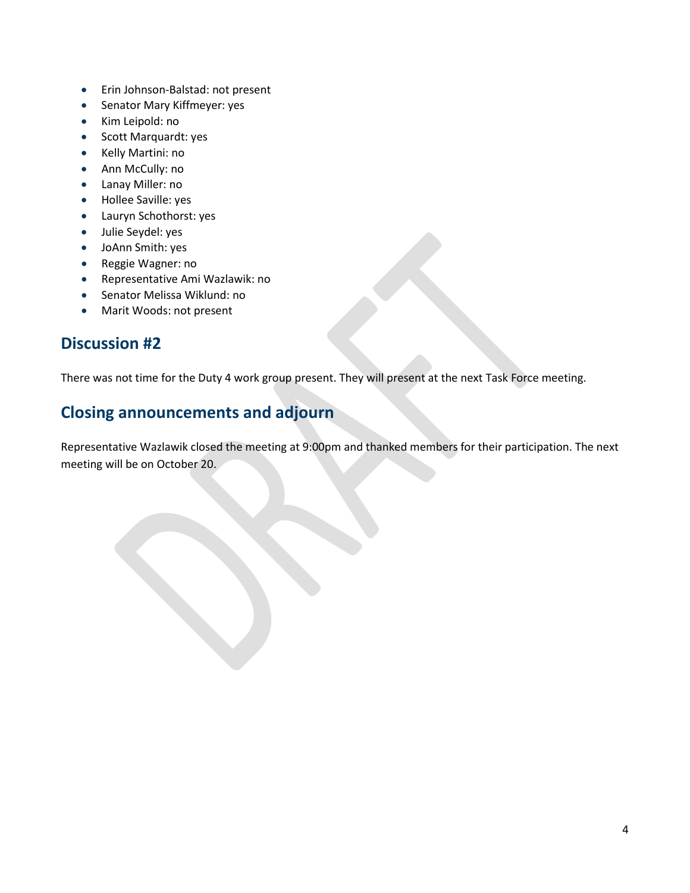- Erin Johnson-Balstad: not present
- Senator Mary Kiffmeyer: yes
- Kim Leipold: no
- Scott Marquardt: yes
- Kelly Martini: no
- Ann McCully: no
- Lanay Miller: no
- Hollee Saville: yes
- Lauryn Schothorst: yes
- Julie Seydel: yes
- JoAnn Smith: yes
- Reggie Wagner: no
- Representative Ami Wazlawik: no
- Senator Melissa Wiklund: no
- Marit Woods: not present

### **Discussion #2**

There was not time for the Duty 4 work group present. They will present at the next Task Force meeting.

### **Closing announcements and adjourn**

Representative Wazlawik closed the meeting at 9:00pm and thanked members for their participation. The next meeting will be on October 20.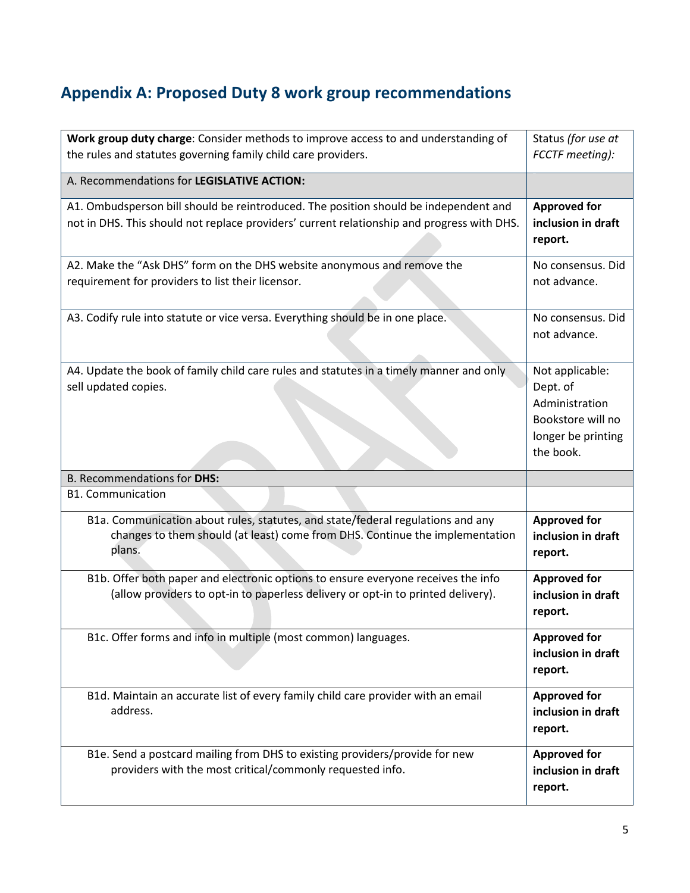# <span id="page-4-0"></span>**Appendix A: Proposed Duty 8 work group recommendations**

| Work group duty charge: Consider methods to improve access to and understanding of         | Status (for use at                |
|--------------------------------------------------------------------------------------------|-----------------------------------|
| the rules and statutes governing family child care providers.                              | FCCTF meeting):                   |
| A. Recommendations for LEGISLATIVE ACTION:                                                 |                                   |
| A1. Ombudsperson bill should be reintroduced. The position should be independent and       | <b>Approved for</b>               |
| not in DHS. This should not replace providers' current relationship and progress with DHS. | inclusion in draft<br>report.     |
| A2. Make the "Ask DHS" form on the DHS website anonymous and remove the                    | No consensus. Did                 |
| requirement for providers to list their licensor.                                          | not advance.                      |
| A3. Codify rule into statute or vice versa. Everything should be in one place.             | No consensus. Did<br>not advance. |
|                                                                                            |                                   |
| A4. Update the book of family child care rules and statutes in a timely manner and only    | Not applicable:                   |
| sell updated copies.                                                                       | Dept. of<br>Administration        |
|                                                                                            | Bookstore will no                 |
|                                                                                            | longer be printing                |
|                                                                                            | the book.                         |
|                                                                                            |                                   |
| <b>B. Recommendations for DHS:</b>                                                         |                                   |
| <b>B1. Communication</b>                                                                   |                                   |
| B1a. Communication about rules, statutes, and state/federal regulations and any            | <b>Approved for</b>               |
| changes to them should (at least) come from DHS. Continue the implementation               | inclusion in draft                |
| plans.                                                                                     | report.                           |
| B1b. Offer both paper and electronic options to ensure everyone receives the info          | <b>Approved for</b>               |
| (allow providers to opt-in to paperless delivery or opt-in to printed delivery).           | inclusion in draft<br>report.     |
| B1c. Offer forms and info in multiple (most common) languages.                             | <b>Approved for</b>               |
|                                                                                            | inclusion in draft<br>report.     |
| B1d. Maintain an accurate list of every family child care provider with an email           | <b>Approved for</b>               |
| address.                                                                                   | inclusion in draft<br>report.     |
| B1e. Send a postcard mailing from DHS to existing providers/provide for new                | <b>Approved for</b>               |
| providers with the most critical/commonly requested info.                                  | inclusion in draft<br>report.     |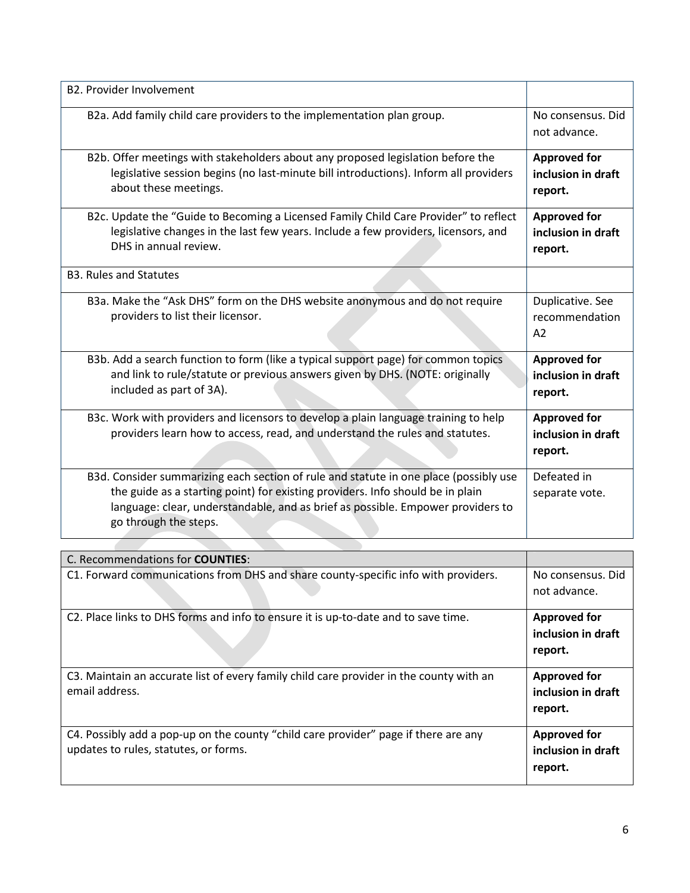| <b>B2. Provider Involvement</b>                                                                                                                                                                                                                                                     |                                                      |
|-------------------------------------------------------------------------------------------------------------------------------------------------------------------------------------------------------------------------------------------------------------------------------------|------------------------------------------------------|
| B2a. Add family child care providers to the implementation plan group.                                                                                                                                                                                                              | No consensus. Did<br>not advance.                    |
| B2b. Offer meetings with stakeholders about any proposed legislation before the<br>legislative session begins (no last-minute bill introductions). Inform all providers<br>about these meetings.                                                                                    | <b>Approved for</b><br>inclusion in draft<br>report. |
| B2c. Update the "Guide to Becoming a Licensed Family Child Care Provider" to reflect<br>legislative changes in the last few years. Include a few providers, licensors, and<br>DHS in annual review.                                                                                 | <b>Approved for</b><br>inclusion in draft<br>report. |
| <b>B3. Rules and Statutes</b>                                                                                                                                                                                                                                                       |                                                      |
| B3a. Make the "Ask DHS" form on the DHS website anonymous and do not require<br>providers to list their licensor.                                                                                                                                                                   | Duplicative. See<br>recommendation<br>A2             |
| B3b. Add a search function to form (like a typical support page) for common topics<br>and link to rule/statute or previous answers given by DHS. (NOTE: originally<br>included as part of 3A).                                                                                      | <b>Approved for</b><br>inclusion in draft<br>report. |
| B3c. Work with providers and licensors to develop a plain language training to help<br>providers learn how to access, read, and understand the rules and statutes.                                                                                                                  | <b>Approved for</b><br>inclusion in draft<br>report. |
| B3d. Consider summarizing each section of rule and statute in one place (possibly use<br>the guide as a starting point) for existing providers. Info should be in plain<br>language: clear, understandable, and as brief as possible. Empower providers to<br>go through the steps. | Defeated in<br>separate vote.                        |

| C. Recommendations for <b>COUNTIES</b> :                                                                                     |                                                      |
|------------------------------------------------------------------------------------------------------------------------------|------------------------------------------------------|
| C1. Forward communications from DHS and share county-specific info with providers.                                           | No consensus. Did<br>not advance.                    |
| C2. Place links to DHS forms and info to ensure it is up-to-date and to save time.                                           | <b>Approved for</b><br>inclusion in draft<br>report. |
| C3. Maintain an accurate list of every family child care provider in the county with an<br>email address.                    | <b>Approved for</b><br>inclusion in draft<br>report. |
| C4. Possibly add a pop-up on the county "child care provider" page if there are any<br>updates to rules, statutes, or forms. | <b>Approved for</b><br>inclusion in draft<br>report. |